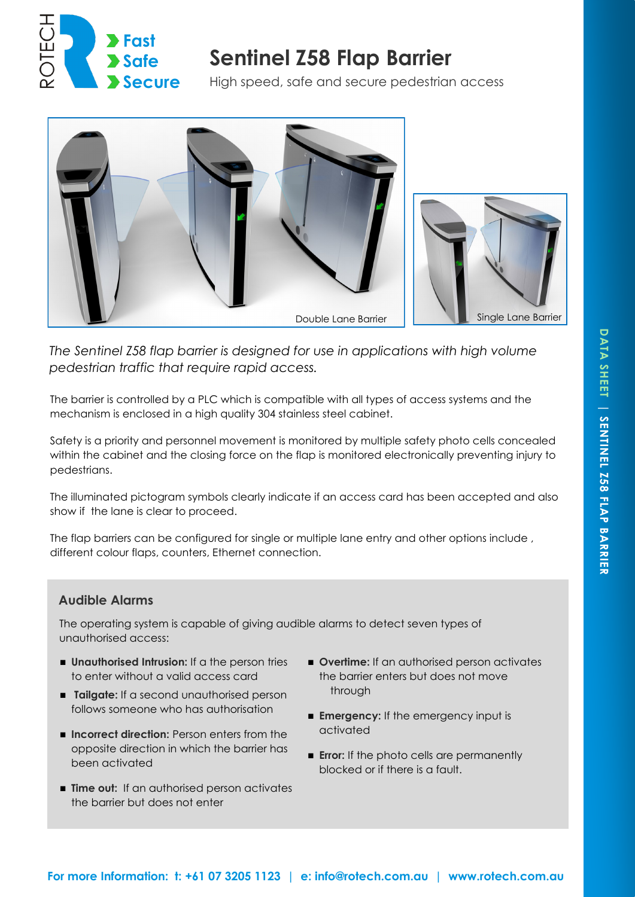

# **Sentinel Z58 Flap Barrier**

High speed, safe and secure pedestrian access



*The Sentinel Z58 flap barrier is designed for use in applications with high volume pedestrian traffic that require rapid access.*

The barrier is controlled by a PLC which is compatible with all types of access systems and the mechanism is enclosed in a high quality 304 stainless steel cabinet.

Safety is a priority and personnel movement is monitored by multiple safety photo cells concealed within the cabinet and the closing force on the flap is monitored electronically preventing injury to pedestrians.

The illuminated pictogram symbols clearly indicate if an access card has been accepted and also show if the lane is clear to proceed.

The flap barriers can be configured for single or multiple lane entry and other options include , different colour flaps, counters, Ethernet connection.

### **Audible Alarms**

The operating system is capable of giving audible alarms to detect seven types of unauthorised access:

- **Unauthorised Intrusion:** If a the person tries to enter without a valid access card
- **Tailgate:** If a second unauthorised person follows someone who has authorisation
- **Incorrect direction:** Person enters from the opposite direction in which the barrier has been activated
- **Time out:** If an authorised person activates the barrier but does not enter
- **Overtime:** If an authorised person activates the barrier enters but does not move through
- **Emergency:** If the emergency input is activated
- **Error:** If the photo cells are permanently blocked or if there is a fault.